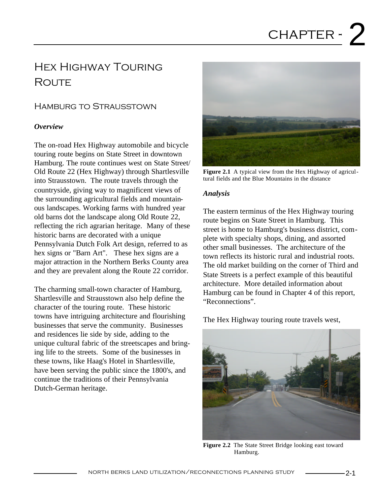### *Hex Highway Touring Route*

### *Hamburg to Strausstown*

#### *Overview*

The on-road Hex Highway automobile and bicycle touring route begins on State Street in downtown Hamburg. The route continues west on State Street/ Old Route 22 (Hex Highway) through Shartlesville into Strausstown. The route travels through the countryside, giving way to magnificent views of the surrounding agricultural fields and mountainous landscapes. Working farms with hundred year old barns dot the landscape along Old Route 22, reflecting the rich agrarian heritage. Many of these historic barns are decorated with a unique Pennsylvania Dutch Folk Art design, referred to as hex signs or "Barn Art". These hex signs are a major attraction in the Northern Berks County area and they are prevalent along the Route 22 corridor.

The charming small-town character of Hamburg, Shartlesville and Strausstown also help define the character of the touring route. These historic towns have intriguing architecture and flourishing businesses that serve the community. Businesses and residences lie side by side, adding to the unique cultural fabric of the streetscapes and bringing life to the streets. Some of the businesses in these towns, like Haag's Hotel in Shartlesville, have been serving the public since the 1800's, and continue the traditions of their Pennsylvania Dutch-German heritage.



**Figure 2.1** A typical view from the Hex Highway of agricultural fields and the Blue Mountains in the distance

#### *Analysis*

The eastern terminus of the Hex Highway touring route begins on State Street in Hamburg. This street is home to Hamburg's business district, complete with specialty shops, dining, and assorted other small businesses. The architecture of the town reflects its historic rural and industrial roots. The old market building on the corner of Third and State Streets is a perfect example of this beautiful architecture. More detailed information about Hamburg can be found in Chapter 4 of this report, "Reconnections".

The Hex Highway touring route travels west,



**Figure 2.2** The State Street Bridge looking east toward Hamburg.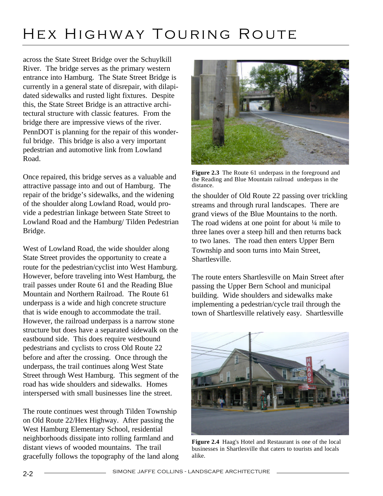across the State Street Bridge over the Schuylkill River. The bridge serves as the primary western entrance into Hamburg. The State Street Bridge is currently in a general state of disrepair, with dilapidated sidewalks and rusted light fixtures. Despite this, the State Street Bridge is an attractive architectural structure with classic features. From the bridge there are impressive views of the river. PennDOT is planning for the repair of this wonderful bridge. This bridge is also a very important pedestrian and automotive link from Lowland Road.

Once repaired, this bridge serves as a valuable and attractive passage into and out of Hamburg. The repair of the bridge's sidewalks, and the widening of the shoulder along Lowland Road, would provide a pedestrian linkage between State Street to Lowland Road and the Hamburg/ Tilden Pedestrian Bridge.

West of Lowland Road, the wide shoulder along State Street provides the opportunity to create a route for the pedestrian/cyclist into West Hamburg. However, before traveling into West Hamburg, the trail passes under Route 61 and the Reading Blue Mountain and Northern Railroad. The Route 61 underpass is a wide and high concrete structure that is wide enough to accommodate the trail. However, the railroad underpass is a narrow stone structure but does have a separated sidewalk on the eastbound side. This does require westbound pedestrians and cyclists to cross Old Route 22 before and after the crossing. Once through the underpass, the trail continues along West State Street through West Hamburg. This segment of the road has wide shoulders and sidewalks. Homes interspersed with small businesses line the street.

The route continues west through Tilden Township on Old Route 22/Hex Highway. After passing the West Hamburg Elementary School, residential neighborhoods dissipate into rolling farmland and distant views of wooded mountains. The trail gracefully follows the topography of the land along



**Figure 2.3** The Route 61 underpass in the foreground and the Reading and Blue Mountain railroad underpass in the distance.

the shoulder of Old Route 22 passing over trickling streams and through rural landscapes. There are grand views of the Blue Mountains to the north. The road widens at one point for about ¼ mile to three lanes over a steep hill and then returns back to two lanes. The road then enters Upper Bern Township and soon turns into Main Street, Shartlesville.

The route enters Shartlesville on Main Street after passing the Upper Bern School and municipal building. Wide shoulders and sidewalks make implementing a pedestrian/cycle trail through the town of Shartlesville relatively easy. Shartlesville



**Figure 2.4** Haag's Hotel and Restaurant is one of the local businesses in Shartlesville that caters to tourists and locals alike.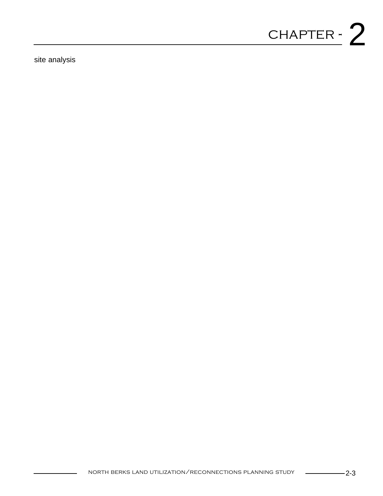

site analysis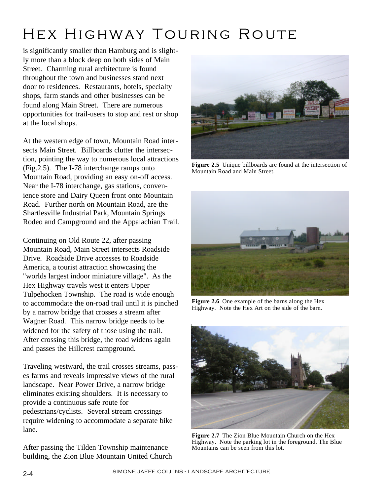is significantly smaller than Hamburg and is slightly more than a block deep on both sides of Main Street. Charming rural architecture is found throughout the town and businesses stand next door to residences. Restaurants, hotels, specialty shops, farm stands and other businesses can be found along Main Street. There are numerous opportunities for trail-users to stop and rest or shop at the local shops.

At the western edge of town, Mountain Road intersects Main Street. Billboards clutter the intersection, pointing the way to numerous local attractions (Fig.2.5). The I-78 interchange ramps onto Mountain Road, providing an easy on-off access. Near the I-78 interchange, gas stations, convenience store and Dairy Queen front onto Mountain Road. Further north on Mountain Road, are the Shartlesville Industrial Park, Mountain Springs Rodeo and Campground and the Appalachian Trail.

Continuing on Old Route 22, after passing Mountain Road, Main Street intersects Roadside Drive. Roadside Drive accesses to Roadside America, a tourist attraction showcasing the "worlds largest indoor miniature village". As the Hex Highway travels west it enters Upper Tulpehocken Township. The road is wide enough to accommodate the on-road trail until it is pinched by a narrow bridge that crosses a stream after Wagner Road. This narrow bridge needs to be widened for the safety of those using the trail. After crossing this bridge, the road widens again and passes the Hillcrest campground.

Traveling westward, the trail crosses streams, passes farms and reveals impressive views of the rural landscape. Near Power Drive, a narrow bridge eliminates existing shoulders. It is necessary to provide a continuous safe route for pedestrians/cyclists. Several stream crossings require widening to accommodate a separate bike lane.

After passing the Tilden Township maintenance building, the Zion Blue Mountain United Church



**Figure 2.5** Unique billboards are found at the intersection of Mountain Road and Main Street.



**Figure 2.6** One example of the barns along the Hex Highway. Note the Hex Art on the side of the barn.



**Figure 2.7** The Zion Blue Mountain Church on the Hex Highway. Note the parking lot in the foreground. The Blue Mountains can be seen from this lot.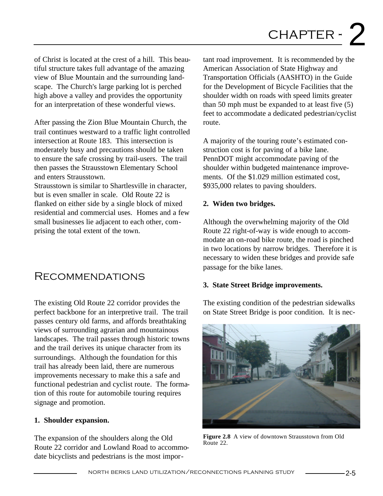of Christ is located at the crest of a hill. This beautiful structure takes full advantage of the amazing view of Blue Mountain and the surrounding landscape. The Church's large parking lot is perched high above a valley and provides the opportunity for an interpretation of these wonderful views.

After passing the Zion Blue Mountain Church, the trail continues westward to a traffic light controlled intersection at Route 183. This intersection is moderately busy and precautions should be taken to ensure the safe crossing by trail-users. The trail then passes the Strausstown Elementary School and enters Strausstown.

Strausstown is similar to Shartlesville in character, but is even smaller in scale. Old Route 22 is flanked on either side by a single block of mixed residential and commercial uses. Homes and a few small businesses lie adjacent to each other, comprising the total extent of the town.

### *Recommendations*

The existing Old Route 22 corridor provides the perfect backbone for an interpretive trail. The trail passes century old farms, and affords breathtaking views of surrounding agrarian and mountainous landscapes. The trail passes through historic towns and the trail derives its unique character from its surroundings. Although the foundation for this trail has already been laid, there are numerous improvements necessary to make this a safe and functional pedestrian and cyclist route. The formation of this route for automobile touring requires signage and promotion.

#### **1. Shoulder expansion.**

The expansion of the shoulders along the Old Route 22 corridor and Lowland Road to accommodate bicyclists and pedestrians is the most important road improvement. It is recommended by the American Association of State Highway and Transportation Officials (AASHTO) in the Guide for the Development of Bicycle Facilities that the shoulder width on roads with speed limits greater than 50 mph must be expanded to at least five (5) feet to accommodate a dedicated pedestrian/cyclist route.

A majority of the touring route's estimated construction cost is for paving of a bike lane. PennDOT might accommodate paving of the shoulder within budgeted maintenance improvements. Of the \$1.029 million estimated cost, \$935,000 relates to paving shoulders.

#### **2. Widen two bridges.**

Although the overwhelming majority of the Old Route 22 right-of-way is wide enough to accommodate an on-road bike route, the road is pinched in two locations by narrow bridges. Therefore it is necessary to widen these bridges and provide safe passage for the bike lanes.

#### **3. State Street Bridge improvements.**

The existing condition of the pedestrian sidewalks on State Street Bridge is poor condition. It is nec-



**Figure 2.8** A view of downtown Strausstown from Old Route 22.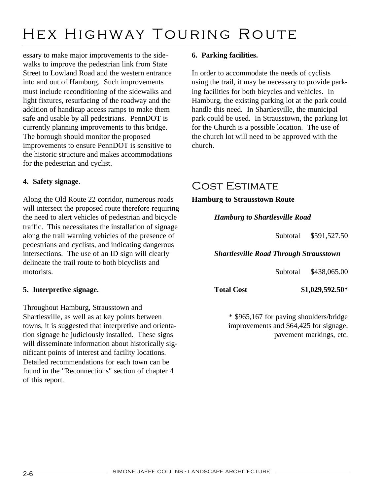essary to make major improvements to the sidewalks to improve the pedestrian link from State Street to Lowland Road and the western entrance into and out of Hamburg. Such improvements must include reconditioning of the sidewalks and light fixtures, resurfacing of the roadway and the addition of handicap access ramps to make them safe and usable by all pedestrians. PennDOT is currently planning improvements to this bridge. The borough should monitor the proposed improvements to ensure PennDOT is sensitive to the historic structure and makes accommodations for the pedestrian and cyclist.

#### **4. Safety signage**.

Along the Old Route 22 corridor, numerous roads will intersect the proposed route therefore requiring the need to alert vehicles of pedestrian and bicycle traffic. This necessitates the installation of signage along the trail warning vehicles of the presence of pedestrians and cyclists, and indicating dangerous intersections. The use of an ID sign will clearly delineate the trail route to both bicyclists and motorists.

#### **5. Interpretive signage.**

Throughout Hamburg, Strausstown and Shartlesville, as well as at key points between towns, it is suggested that interpretive and orientation signage be judiciously installed. These signs will disseminate information about historically significant points of interest and facility locations. Detailed recommendations for each town can be found in the "Reconnections" section of chapter 4 of this report.

#### **6. Parking facilities.**

In order to accommodate the needs of cyclists using the trail, it may be necessary to provide parking facilities for both bicycles and vehicles. In Hamburg, the existing parking lot at the park could handle this need. In Shartlesville, the municipal park could be used. In Strausstown, the parking lot for the Church is a possible location. The use of the church lot will need to be approved with the church.

### *Cost Estimate*

**Hamburg to Strausstown Route**

*Hamburg to Shartlesville Road*

Subtotal \$591,527.50

*Shartlesville Road Through Strausstown*

Subtotal \$438,065.00

**Total Cost \$1,029,592.50\***

\* \$965,167 for paving shoulders/bridge improvements and \$64,425 for signage, pavement markings, etc.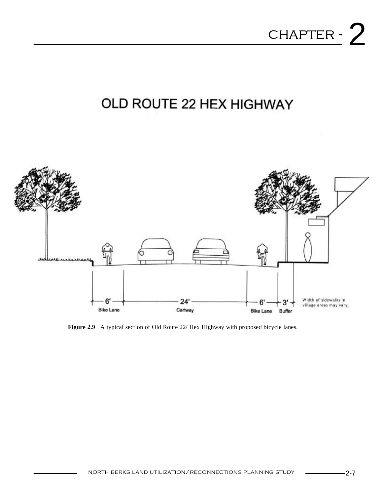

### OLD ROUTE 22 HEX HIGHWAY



**Figure 2.9** A typical section of Old Route 22/ Hex Highway with proposed bicycle lanes.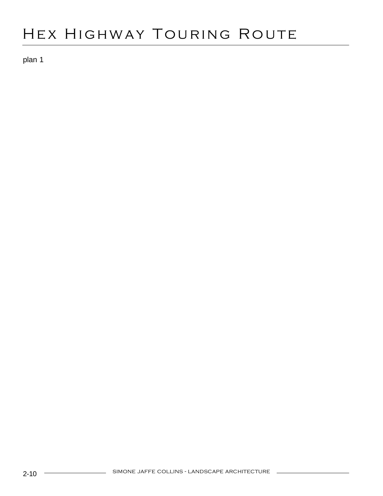### HEX HIGHWAY TOURING ROUTE

plan 1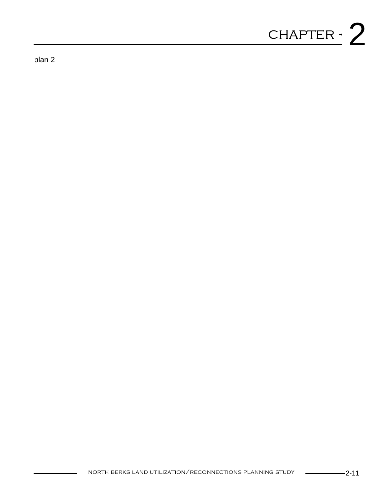plan 2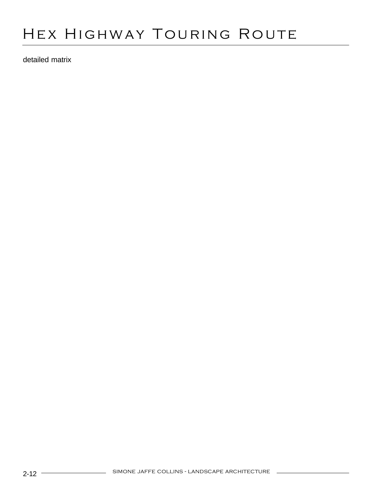## HEX HIGHWAY TOURING ROUTE

detailed matrix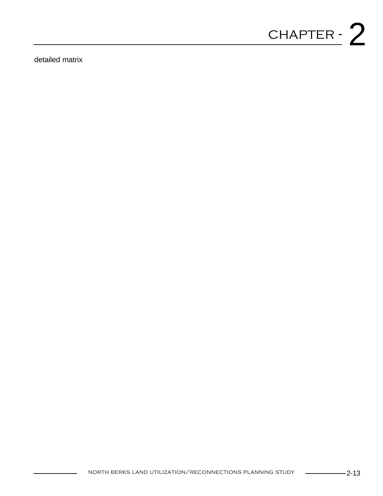

detailed matrix

 $\overline{\phantom{0}}$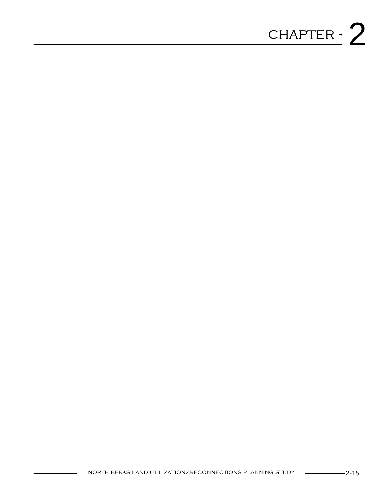$\overline{\phantom{a}}$